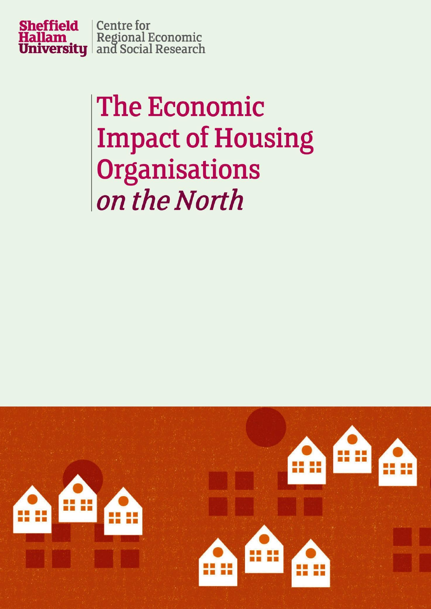

## **The Economic Impact of Housing** Organisations on the North

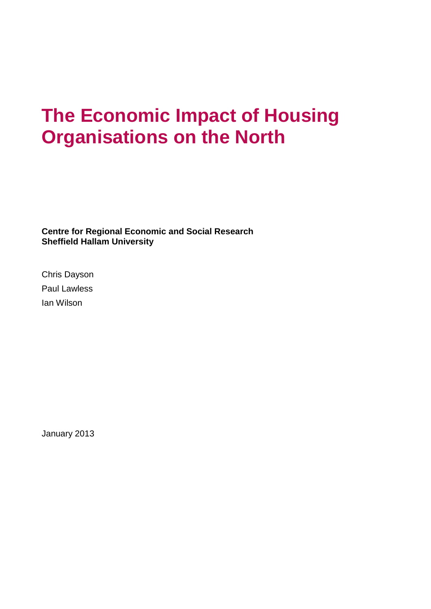## **The Economic Impact of Housing Organisations on the North**

**Centre for Regional Economic and Social Research Sheffield Hallam University**

Chris Dayson Paul Lawless Ian Wilson

January 2013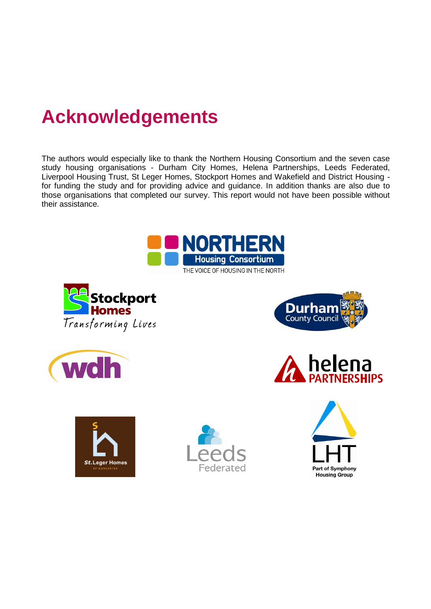## **Acknowledgements**

The authors would especially like to thank the Northern Housing Consortium and the seven case study housing organisations - Durham City Homes, Helena Partnerships, Leeds Federated, Liverpool Housing Trust, St Leger Homes, Stockport Homes and Wakefield and District Housing for funding the study and for providing advice and guidance. In addition thanks are also due to those organisations that completed our survey. This report would not have been possible without their assistance.















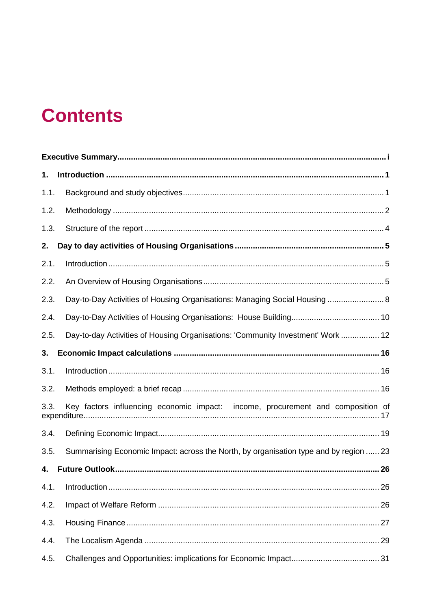## **Contents**

| 1.   |                                                                                       |
|------|---------------------------------------------------------------------------------------|
| 1.1. |                                                                                       |
| 1.2. |                                                                                       |
| 1.3. |                                                                                       |
| 2.   |                                                                                       |
| 2.1. |                                                                                       |
| 2.2. |                                                                                       |
| 2.3. | Day-to-Day Activities of Housing Organisations: Managing Social Housing  8            |
| 2.4. |                                                                                       |
| 2.5. | Day-to-day Activities of Housing Organisations: 'Community Investment' Work  12       |
| 3.   |                                                                                       |
| 3.1. |                                                                                       |
| 3.2. |                                                                                       |
| 3.3. | Key factors influencing economic impact: income, procurement and composition of       |
| 3.4. |                                                                                       |
| 3.5. | Summarising Economic Impact: across the North, by organisation type and by region  23 |
| 4.   |                                                                                       |
| 4.1. | 26                                                                                    |
| 4.2. | 26                                                                                    |
| 4.3. |                                                                                       |
| 4.4. |                                                                                       |
| 4.5. |                                                                                       |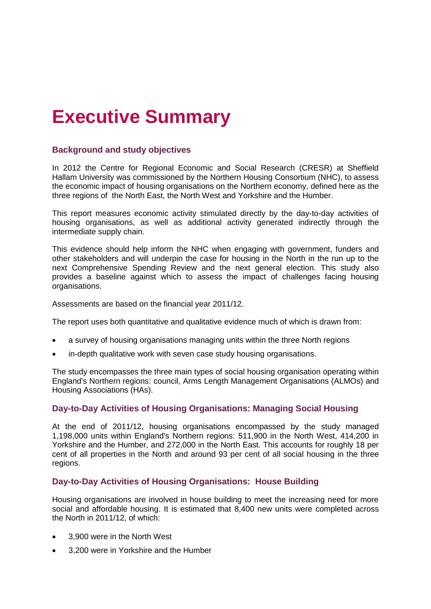## <span id="page-4-0"></span>**Executive Summary**

#### **Background and study objectives**

In 2012 the Centre for Regional Economic and Social Research (CRESR) at Sheffield Hallam University was commissioned by the Northern Housing Consortium (NHC), to assess the economic impact of housing organisations on the Northern economy, defined here as the three regions of the North East, the North West and Yorkshire and the Humber.

This report measures economic activity stimulated directly by the day-to-day activities of housing organisations, as well as additional activity generated indirectly through the intermediate supply chain.

This evidence should help inform the NHC when engaging with government, funders and other stakeholders and will underpin the case for housing in the North in the run up to the next Comprehensive Spending Review and the next general election. This study also provides a baseline against which to assess the impact of challenges facing housing organisations.

Assessments are based on the financial year 2011/12.

The report uses both quantitative and qualitative evidence much of which is drawn from:

- a survey of housing organisations managing units within the three North regions
- in-depth qualitative work with seven case study housing organisations.

The study encompasses the three main types of social housing organisation operating within England's Northern regions: council, Arms Length Management Organisations (ALMOs) and Housing Associations (HAs).

#### **Day-to-Day Activities of Housing Organisations: Managing Social Housing**

At the end of 2011/12, housing organisations encompassed by the study managed 1,198,000 units within England's Northern regions: 511,900 in the North West, 414,200 in Yorkshire and the Humber, and 272,000 in the North East. This accounts for roughly 18 per cent of all properties in the North and around 93 per cent of all social housing in the three regions.

#### **Day-to-Day Activities of Housing Organisations: House Building**

Housing organisations are involved in house building to meet the increasing need for more social and affordable housing. It is estimated that 8,400 new units were completed across the North in 2011/12, of which:

- 3,900 were in the North West
- 3,200 were in Yorkshire and the Humber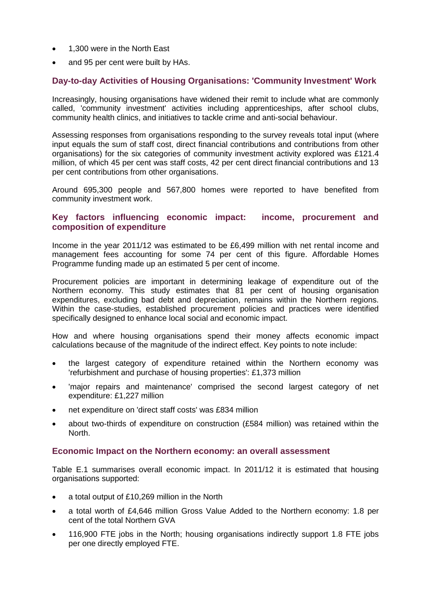- 1,300 were in the North East
- and 95 per cent were built by HAs.

#### **Day-to-day Activities of Housing Organisations: 'Community Investment' Work**

Increasingly, housing organisations have widened their remit to include what are commonly called, 'community investment' activities including apprenticeships, after school clubs, community health clinics, and initiatives to tackle crime and anti-social behaviour.

Assessing responses from organisations responding to the survey reveals total input (where input equals the sum of staff cost, direct financial contributions and contributions from other organisations) for the six categories of community investment activity explored was £121.4 million, of which 45 per cent was staff costs, 42 per cent direct financial contributions and 13 per cent contributions from other organisations.

Around 695,300 people and 567,800 homes were reported to have benefited from community investment work.

#### **Key factors influencing economic impact: income, procurement and composition of expenditure**

Income in the year 2011/12 was estimated to be £6,499 million with net rental income and management fees accounting for some 74 per cent of this figure. Affordable Homes Programme funding made up an estimated 5 per cent of income.

Procurement policies are important in determining leakage of expenditure out of the Northern economy. This study estimates that 81 per cent of housing organisation expenditures, excluding bad debt and depreciation, remains within the Northern regions. Within the case-studies, established procurement policies and practices were identified specifically designed to enhance local social and economic impact.

How and where housing organisations spend their money affects economic impact calculations because of the magnitude of the indirect effect. Key points to note include:

- the largest category of expenditure retained within the Northern economy was 'refurbishment and purchase of housing properties': £1,373 million
- 'major repairs and maintenance' comprised the second largest category of net expenditure: £1,227 million
- net expenditure on 'direct staff costs' was £834 million
- about two-thirds of expenditure on construction (£584 million) was retained within the **North**

#### **Economic Impact on the Northern economy: an overall assessment**

Table E.1 summarises overall economic impact. In 2011/12 it is estimated that housing organisations supported:

- a total output of £10,269 million in the North
- a total worth of £4,646 million Gross Value Added to the Northern economy: 1.8 per cent of the total Northern GVA
- 116,900 FTE jobs in the North; housing organisations indirectly support 1.8 FTE jobs per one directly employed FTE.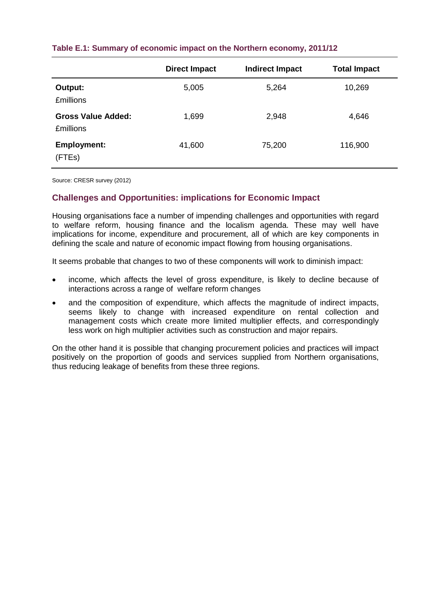|                                               | <b>Direct Impact</b> | <b>Indirect Impact</b> | <b>Total Impact</b> |
|-----------------------------------------------|----------------------|------------------------|---------------------|
| Output:<br><b>£millions</b>                   | 5,005                | 5,264                  | 10,269              |
| <b>Gross Value Added:</b><br><b>£millions</b> | 1,699                | 2,948                  | 4,646               |
| <b>Employment:</b><br>(FTEs)                  | 41,600               | 75,200                 | 116,900             |

#### **Table E.1: Summary of economic impact on the Northern economy, 2011/12**

Source: CRESR survey (2012)

#### **Challenges and Opportunities: implications for Economic Impact**

Housing organisations face a number of impending challenges and opportunities with regard to welfare reform, housing finance and the localism agenda. These may well have implications for income, expenditure and procurement, all of which are key components in defining the scale and nature of economic impact flowing from housing organisations.

It seems probable that changes to two of these components will work to diminish impact:

- income, which affects the level of gross expenditure, is likely to decline because of interactions across a range of welfare reform changes
- and the composition of expenditure, which affects the magnitude of indirect impacts, seems likely to change with increased expenditure on rental collection and management costs which create more limited multiplier effects, and correspondingly less work on high multiplier activities such as construction and major repairs.

On the other hand it is possible that changing procurement policies and practices will impact positively on the proportion of goods and services supplied from Northern organisations, thus reducing leakage of benefits from these three regions.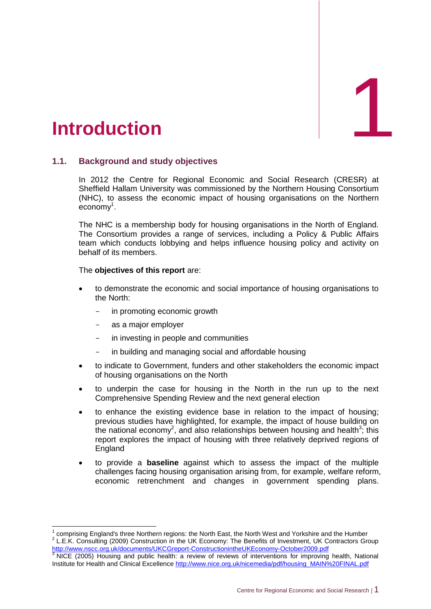

### <span id="page-7-0"></span>1. **Introduction**

#### <span id="page-7-1"></span>**1.1. Background and study objectives**

In 2012 the Centre for Regional Economic and Social Research (CRESR) at Sheffield Hallam University was commissioned by the Northern Housing Consortium (NHC), to assess the economic impact of housing organisations on the Northern economy<sup>1</sup>.

ESR) at<br>nsortium<br>Northern<br>England.<br>ic Affairs<br>ctivity on The NHC is a membership body for housing organisations in the North of England. The Consortium provides a range of services, including a Policy & Public Affairs team which conducts lobbying and helps influence housing policy and activity on behalf of its members.

#### The **objectives of this report** are:

- to demonstrate the economic and social importance of housing organisations to the North:
	- in promoting economic growth
	- as a major employer

-

- in investing in people and communities
- in building and managing social and affordable housing
- to indicate to Government, funders and other stakeholders the economic impact of housing organisations on the North
- to underpin the case for housing in the North in the run up to the next Comprehensive Spending Review and the next general election
- to enhance the existing evidence base in relation to the impact of housing; previous studies have highlighted, for example, the impact of house building on the national economy<sup>2</sup>, and also relationships between housing and health<sup>3</sup>; this report explores the impact of housing with three relatively deprived regions of **England**
- to provide a **baseline** against which to assess the impact of the multiple challenges facing housing organisation arising from, for example, welfare reform, economic retrenchment and changes in government spending plans.

<sup>1</sup> comprising England's three Northern regions: the North East, the North West and Yorkshire and the Humber <sup>2</sup> L.E.K. Consulting (2009) Construction in the UK Economy: The Benefits of Investment, UK Contractors Group <http://www.nscc.org.uk/documents/UKCGreport-ConstructionintheUKEconomy-October2009.pdf><br>3 NICE (2005) Housing and sublimities

NICE (2005) Housing and public health: a review of reviews of interventions for improving health, National Institute for Health and Clinical Excellenc[e http://www.nice.org.uk/nicemedia/pdf/housing\\_MAIN%20FINAL.pdf](http://www.nice.org.uk/nicemedia/pdf/housing_MAIN%20FINAL.pdf)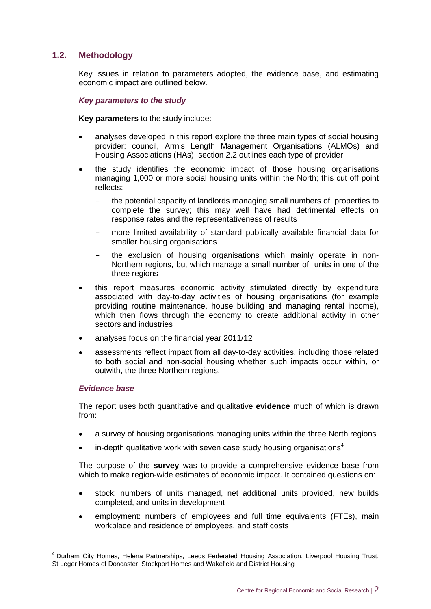#### <span id="page-8-0"></span>**1.2. Methodology**

Key issues in relation to parameters adopted, the evidence base, and estimating economic impact are outlined below.

#### *Key parameters to the study*

**Key parameters** to the study include:

- analyses developed in this report explore the three main types of social housing provider: council, Arm's Length Management Organisations (ALMOs) and Housing Associations (HAs); section 2.2 outlines each type of provider
- the study identifies the economic impact of those housing organisations managing 1,000 or more social housing units within the North; this cut off point reflects:
	- the potential capacity of landlords managing small numbers of properties to complete the survey; this may well have had detrimental effects on response rates and the representativeness of results
	- more limited availability of standard publically available financial data for smaller housing organisations
	- the exclusion of housing organisations which mainly operate in non-Northern regions, but which manage a small number of units in one of the three regions
- this report measures economic activity stimulated directly by expenditure associated with day-to-day activities of housing organisations (for example providing routine maintenance, house building and managing rental income), which then flows through the economy to create additional activity in other sectors and industries
- analyses focus on the financial year 2011/12
- assessments reflect impact from all day-to-day activities, including those related to both social and non-social housing whether such impacts occur within, or outwith, the three Northern regions.

#### *Evidence base*

-

The report uses both quantitative and qualitative **evidence** much of which is drawn from:

- a survey of housing organisations managing units within the three North regions
- in-depth qualitative work with seven case study housing organisations<sup>4</sup>

The purpose of the **survey** was to provide a comprehensive evidence base from which to make region-wide estimates of economic impact. It contained questions on:

- stock: numbers of units managed, net additional units provided, new builds completed, and units in development
- employment: numbers of employees and full time equivalents (FTEs), main workplace and residence of employees, and staff costs

<sup>&</sup>lt;sup>4</sup> Durham City Homes, Helena Partnerships, Leeds Federated Housing Association, Liverpool Housing Trust, St Leger Homes of Doncaster, Stockport Homes and Wakefield and District Housing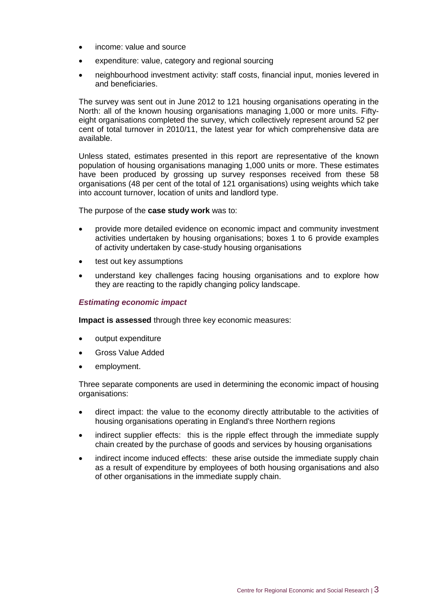- income: value and source
- expenditure: value, category and regional sourcing
- neighbourhood investment activity: staff costs, financial input, monies levered in and beneficiaries.

The survey was sent out in June 2012 to 121 housing organisations operating in the North: all of the known housing organisations managing 1,000 or more units. Fiftyeight organisations completed the survey, which collectively represent around 52 per cent of total turnover in 2010/11, the latest year for which comprehensive data are available.

Unless stated, estimates presented in this report are representative of the known population of housing organisations managing 1,000 units or more. These estimates have been produced by grossing up survey responses received from these 58 organisations (48 per cent of the total of 121 organisations) using weights which take into account turnover, location of units and landlord type.

The purpose of the **case study work** was to:

- provide more detailed evidence on economic impact and community investment activities undertaken by housing organisations; boxes 1 to 6 provide examples of activity undertaken by case-study housing organisations
- test out key assumptions
- understand key challenges facing housing organisations and to explore how they are reacting to the rapidly changing policy landscape.

#### *Estimating economic impact*

**Impact is assessed** through three key economic measures:

- output expenditure
- Gross Value Added
- employment.

Three separate components are used in determining the economic impact of housing organisations:

- direct impact: the value to the economy directly attributable to the activities of housing organisations operating in England's three Northern regions
- indirect supplier effects: this is the ripple effect through the immediate supply chain created by the purchase of goods and services by housing organisations
- indirect income induced effects: these arise outside the immediate supply chain as a result of expenditure by employees of both housing organisations and also of other organisations in the immediate supply chain.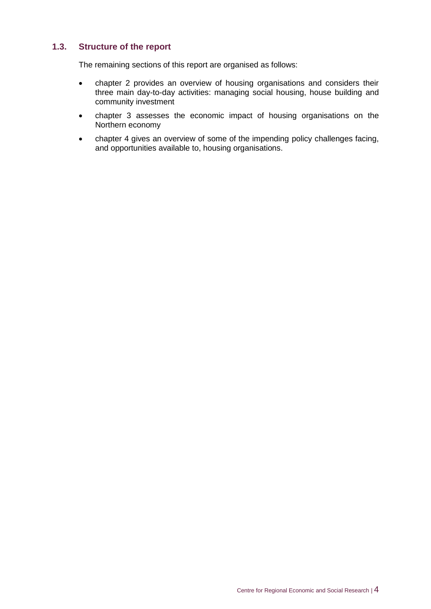#### <span id="page-10-0"></span>**1.3. Structure of the report**

The remaining sections of this report are organised as follows:

- chapter 2 provides an overview of housing organisations and considers their three main day-to-day activities: managing social housing, house building and community investment
- chapter 3 assesses the economic impact of housing organisations on the Northern economy
- chapter 4 gives an overview of some of the impending policy challenges facing, and opportunities available to, housing organisations.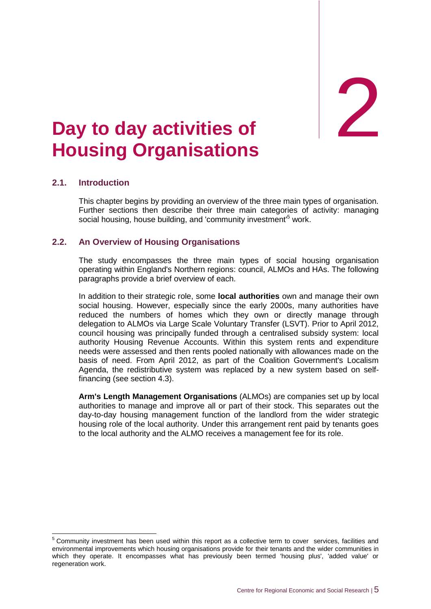2

## <span id="page-11-0"></span>2. **Day to day activities of Housing Organisations**

#### <span id="page-11-1"></span>**2.1. Introduction**

 $\overline{\phantom{a}}$ 

This chapter begins by providing an overview of the three main types of organisation. Further sections then describe their three main categories of activity: managing social housing, house building, and 'community investment'<sup>5</sup> work.

#### <span id="page-11-2"></span>**2.2. An Overview of Housing Organisations**

The study encompasses the three main types of social housing organisation operating within England's Northern regions: council, ALMOs and HAs. The following paragraphs provide a brief overview of each.

In addition to their strategic role, some **local authorities** own and manage their own social housing. However, especially since the early 2000s, many authorities have reduced the numbers of homes which they own or directly manage through delegation to ALMOs via Large Scale Voluntary Transfer (LSVT). Prior to April 2012, council housing was principally funded through a centralised subsidy system: local authority Housing Revenue Accounts. Within this system rents and expenditure needs were assessed and then rents pooled nationally with allowances made on the basis of need. From April 2012, as part of the Coalition Government's Localism Agenda, the redistributive system was replaced by a new system based on selffinancing (see section 4.3).

**Arm's Length Management Organisations** (ALMOs) are companies set up by local authorities to manage and improve all or part of their stock. This separates out the day-to-day housing management function of the landlord from the wider strategic housing role of the local authority. Under this arrangement rent paid by tenants goes to the local authority and the ALMO receives a management fee for its role.

 $5$  Community investment has been used within this report as a collective term to cover services, facilities and environmental improvements which housing organisations provide for their tenants and the wider communities in which they operate. It encompasses what has previously been termed 'housing plus', 'added value' or regeneration work.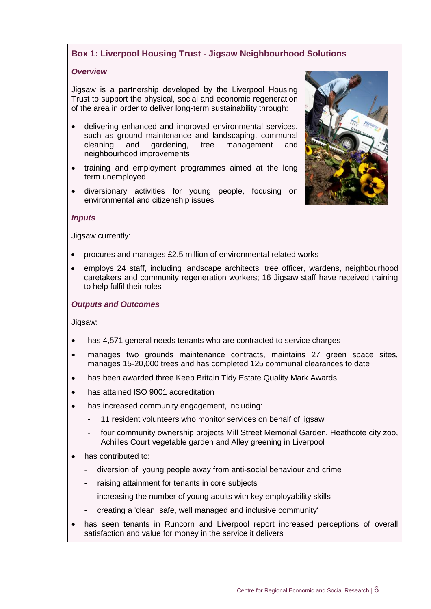#### **Box 1: Liverpool Housing Trust - Jigsaw Neighbourhood Solutions**

#### *Overview*

Jigsaw is a partnership developed by the Liverpool Housing Trust to support the physical, social and economic regeneration of the area in order to deliver long-term sustainability through:

- delivering enhanced and improved environmental services, such as ground maintenance and landscaping, communal cleaning and gardening, tree management and neighbourhood improvements
- training and employment programmes aimed at the long term unemployed
- diversionary activities for young people, focusing on environmental and citizenship issues

#### *Inputs*

Jigsaw currently:

- procures and manages £2.5 million of environmental related works
- employs 24 staff, including landscape architects, tree officer, wardens, neighbourhood caretakers and community regeneration workers; 16 Jigsaw staff have received training to help fulfil their roles

#### *Outputs and Outcomes*

Jigsaw:

- has 4,571 general needs tenants who are contracted to service charges
- manages two grounds maintenance contracts, maintains 27 green space sites, manages 15-20,000 trees and has completed 125 communal clearances to date
- has been awarded three Keep Britain Tidy Estate Quality Mark Awards
- has attained ISO 9001 accreditation
- has increased community engagement, including:
	- 11 resident volunteers who monitor services on behalf of jigsaw
	- four community ownership projects Mill Street Memorial Garden, Heathcote city zoo, Achilles Court vegetable garden and Alley greening in Liverpool
- has contributed to:
	- diversion of young people away from anti-social behaviour and crime
	- raising attainment for tenants in core subjects
	- increasing the number of young adults with key employability skills
	- creating a 'clean, safe, well managed and inclusive community'
- has seen tenants in Runcorn and Liverpool report increased perceptions of overall satisfaction and value for money in the service it delivers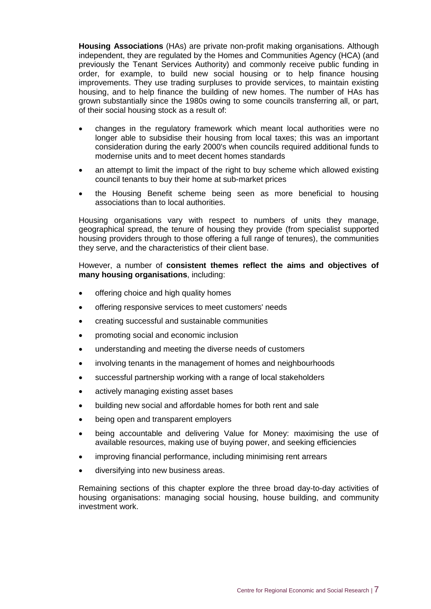**Housing Associations** (HAs) are private non-profit making organisations. Although independent, they are regulated by the Homes and Communities Agency (HCA) (and previously the Tenant Services Authority) and commonly receive public funding in order, for example, to build new social housing or to help finance housing improvements. They use trading surpluses to provide services, to maintain existing housing, and to help finance the building of new homes. The number of HAs has grown substantially since the 1980s owing to some councils transferring all, or part, of their social housing stock as a result of:

- changes in the regulatory framework which meant local authorities were no longer able to subsidise their housing from local taxes; this was an important consideration during the early 2000's when councils required additional funds to modernise units and to meet decent homes standards
- an attempt to limit the impact of the right to buy scheme which allowed existing council tenants to buy their home at sub-market prices
- the Housing Benefit scheme being seen as more beneficial to housing associations than to local authorities.

Housing organisations vary with respect to numbers of units they manage, geographical spread, the tenure of housing they provide (from specialist supported housing providers through to those offering a full range of tenures), the communities they serve, and the characteristics of their client base.

#### However, a number of **consistent themes reflect the aims and objectives of many housing organisations**, including:

- offering choice and high quality homes
- offering responsive services to meet customers' needs
- creating successful and sustainable communities
- promoting social and economic inclusion
- understanding and meeting the diverse needs of customers
- involving tenants in the management of homes and neighbourhoods
- successful partnership working with a range of local stakeholders
- actively managing existing asset bases
- building new social and affordable homes for both rent and sale
- being open and transparent employers
- being accountable and delivering Value for Money: maximising the use of available resources, making use of buying power, and seeking efficiencies
- improving financial performance, including minimising rent arrears
- diversifying into new business areas.

Remaining sections of this chapter explore the three broad day-to-day activities of housing organisations: managing social housing, house building, and community investment work.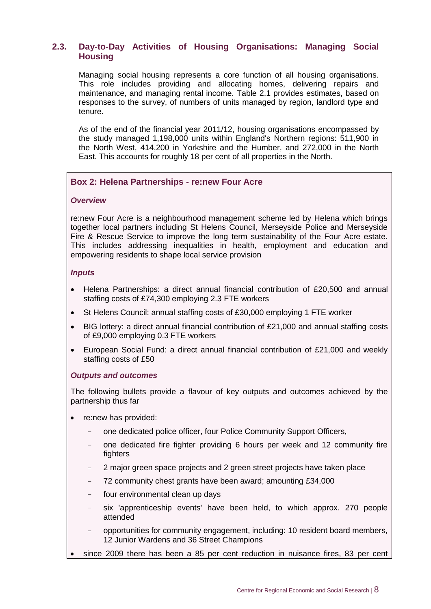#### <span id="page-14-0"></span>**2.3. Day-to-Day Activities of Housing Organisations: Managing Social Housing**

Managing social housing represents a core function of all housing organisations. This role includes providing and allocating homes, delivering repairs and maintenance, and managing rental income. Table 2.1 provides estimates, based on responses to the survey, of numbers of units managed by region, landlord type and tenure.

As of the end of the financial year 2011/12, housing organisations encompassed by the study managed 1,198,000 units within England's Northern regions: 511,900 in the North West, 414,200 in Yorkshire and the Humber, and 272,000 in the North East. This accounts for roughly 18 per cent of all properties in the North.

#### **Box 2: Helena Partnerships - re:new Four Acre**

#### *Overview*

re:new Four Acre is a neighbourhood management scheme led by Helena which brings together local partners including St Helens Council, Merseyside Police and Merseyside Fire & Rescue Service to improve the long term sustainability of the Four Acre estate. This includes addressing inequalities in health, employment and education and empowering residents to shape local service provision

#### *Inputs*

- Helena Partnerships: a direct annual financial contribution of £20,500 and annual staffing costs of £74,300 employing 2.3 FTE workers
- St Helens Council: annual staffing costs of £30,000 employing 1 FTE worker
- BIG lottery: a direct annual financial contribution of £21,000 and annual staffing costs of £9,000 employing 0.3 FTE workers
- European Social Fund: a direct annual financial contribution of £21,000 and weekly staffing costs of £50

#### *Outputs and outcomes*

The following bullets provide a flavour of key outputs and outcomes achieved by the partnership thus far

- re:new has provided:
	- one dedicated police officer, four Police Community Support Officers,
	- one dedicated fire fighter providing 6 hours per week and 12 community fire fighters
	- 2 major green space projects and 2 green street projects have taken place
	- 72 community chest grants have been award; amounting £34,000
	- four environmental clean up days
	- six 'apprenticeship events' have been held, to which approx. 270 people attended
	- opportunities for community engagement, including: 10 resident board members, 12 Junior Wardens and 36 Street Champions
- since 2009 there has been a 85 per cent reduction in nuisance fires, 83 per cent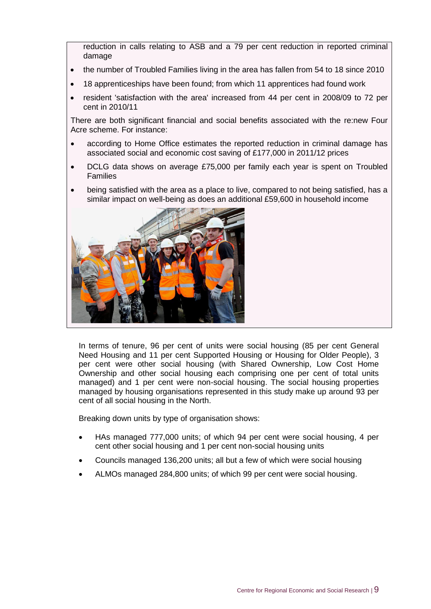reduction in calls relating to ASB and a 79 per cent reduction in reported criminal damage

- the number of Troubled Families living in the area has fallen from 54 to 18 since 2010
- 18 apprenticeships have been found; from which 11 apprentices had found work
- resident 'satisfaction with the area' increased from 44 per cent in 2008/09 to 72 per cent in 2010/11

There are both significant financial and social benefits associated with the re:new Four Acre scheme. For instance:

- according to Home Office estimates the reported reduction in criminal damage has associated social and economic cost saving of £177,000 in 2011/12 prices
- DCLG data shows on average £75,000 per family each year is spent on Troubled Families
- being satisfied with the area as a place to live, compared to not being satisfied, has a similar impact on well-being as does an additional £59,600 in household income



In terms of tenure, 96 per cent of units were social housing (85 per cent General Need Housing and 11 per cent Supported Housing or Housing for Older People), 3 per cent were other social housing (with Shared Ownership, Low Cost Home Ownership and other social housing each comprising one per cent of total units managed) and 1 per cent were non-social housing. The social housing properties managed by housing organisations represented in this study make up around 93 per cent of all social housing in the North.

Breaking down units by type of organisation shows:

- HAs managed 777,000 units; of which 94 per cent were social housing, 4 per cent other social housing and 1 per cent non-social housing units
- Councils managed 136,200 units; all but a few of which were social housing
- ALMOs managed 284,800 units; of which 99 per cent were social housing.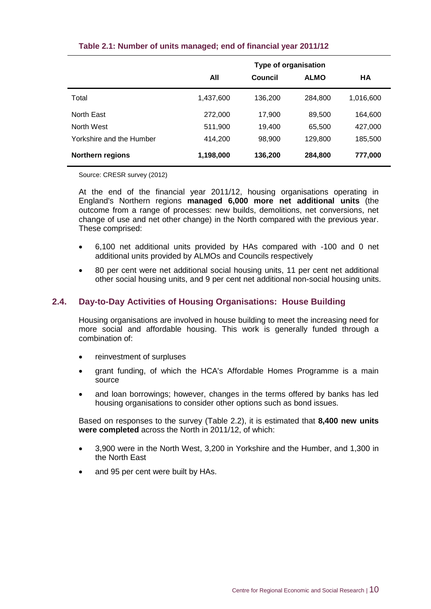|                          | <b>Type of organisation</b> |         |             |           |
|--------------------------|-----------------------------|---------|-------------|-----------|
|                          | All                         | Council | <b>ALMO</b> | HA        |
| Total                    | 1,437,600                   | 136,200 | 284,800     | 1,016,600 |
| North East               | 272,000                     | 17,900  | 89,500      | 164,600   |
| North West               | 511,900                     | 19,400  | 65,500      | 427,000   |
| Yorkshire and the Humber | 414,200                     | 98,900  | 129,800     | 185,500   |
| <b>Northern regions</b>  | 1,198,000                   | 136,200 | 284,800     | 777,000   |

#### **Table 2.1: Number of units managed; end of financial year 2011/12**

Source: CRESR survey (2012)

At the end of the financial year 2011/12, housing organisations operating in England's Northern regions **managed 6,000 more net additional units** (the outcome from a range of processes: new builds, demolitions, net conversions, net change of use and net other change) in the North compared with the previous year. These comprised:

- 6,100 net additional units provided by HAs compared with -100 and 0 net additional units provided by ALMOs and Councils respectively
- 80 per cent were net additional social housing units, 11 per cent net additional other social housing units, and 9 per cent net additional non-social housing units.

#### <span id="page-16-0"></span>**2.4. Day-to-Day Activities of Housing Organisations: House Building**

Housing organisations are involved in house building to meet the increasing need for more social and affordable housing. This work is generally funded through a combination of:

- reinvestment of surpluses
- grant funding, of which the HCA's Affordable Homes Programme is a main source
- and loan borrowings; however, changes in the terms offered by banks has led housing organisations to consider other options such as bond issues.

Based on responses to the survey (Table 2.2), it is estimated that **8,400 new units were completed** across the North in 2011/12, of which:

- 3,900 were in the North West, 3,200 in Yorkshire and the Humber, and 1,300 in the North East
- and 95 per cent were built by HAs.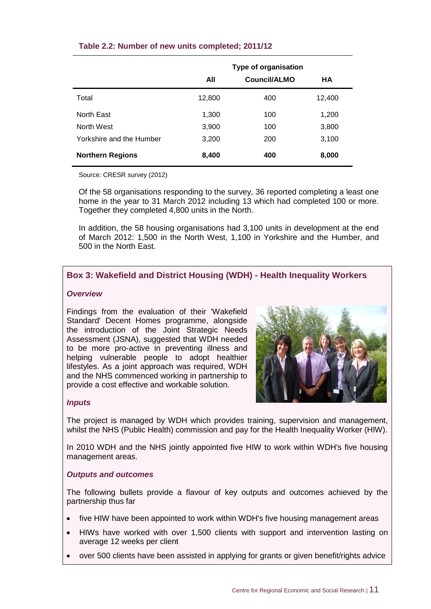|                          | <b>Type of organisation</b> |              |        |
|--------------------------|-----------------------------|--------------|--------|
|                          | All                         | Council/ALMO | HA     |
| Total                    | 12,800                      | 400          | 12,400 |
| North East               | 1,300                       | 100          | 1,200  |
| North West               | 3,900                       | 100          | 3,800  |
| Yorkshire and the Humber | 3,200                       | 200          | 3,100  |
| <b>Northern Regions</b>  | 8,400                       | 400          | 8,000  |

#### **Table 2.2: Number of new units completed; 2011/12**

Source: CRESR survey (2012)

Of the 58 organisations responding to the survey, 36 reported completing a least one home in the year to 31 March 2012 including 13 which had completed 100 or more. Together they completed 4,800 units in the North.

In addition, the 58 housing organisations had 3,100 units in development at the end of March 2012: 1,500 in the North West, 1,100 in Yorkshire and the Humber, and 500 in the North East.

#### **Box 3: Wakefield and District Housing (WDH) - Health Inequality Workers**

#### *Overview*

Findings from the evaluation of their 'Wakefield Standard' Decent Homes programme, alongside the introduction of the Joint Strategic Needs Assessment (JSNA), suggested that WDH needed to be more pro-active in preventing illness and helping vulnerable people to adopt healthier lifestyles. As a joint approach was required, WDH and the NHS commenced working in partnership to provide a cost effective and workable solution.



#### *Inputs*

The project is managed by WDH which provides training, supervision and management, whilst the NHS (Public Health) commission and pay for the Health Inequality Worker (HIW).

In 2010 WDH and the NHS jointly appointed five HIW to work within WDH's five housing management areas.

#### *Outputs and outcomes*

The following bullets provide a flavour of key outputs and outcomes achieved by the partnership thus far

- five HIW have been appointed to work within WDH's five housing management areas
- HIWs have worked with over 1,500 clients with support and intervention lasting on average 12 weeks per client
- over 500 clients have been assisted in applying for grants or given benefit/rights advice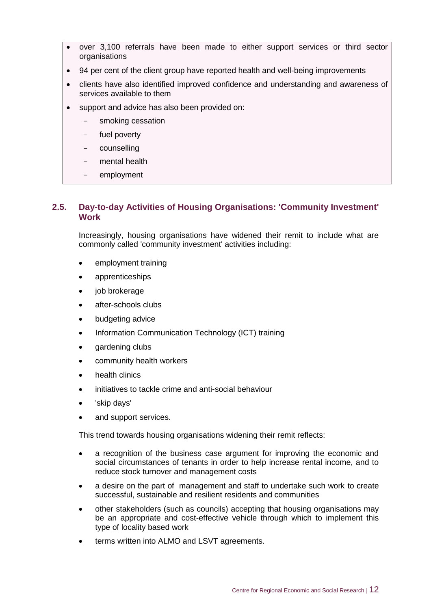- over 3,100 referrals have been made to either support services or third sector organisations
- 94 per cent of the client group have reported health and well-being improvements
- clients have also identified improved confidence and understanding and awareness of services available to them
- support and advice has also been provided on:
	- smoking cessation
	- fuel poverty
	- counselling
	- mental health
	- employment

#### <span id="page-18-0"></span>**2.5. Day-to-day Activities of Housing Organisations: 'Community Investment' Work**

Increasingly, housing organisations have widened their remit to include what are commonly called 'community investment' activities including:

- employment training
- apprenticeships
- iob brokerage
- after-schools clubs
- budgeting advice
- Information Communication Technology (ICT) training
- gardening clubs
- community health workers
- health clinics
- initiatives to tackle crime and anti-social behaviour
- 'skip days'
- and support services.

This trend towards housing organisations widening their remit reflects:

- a recognition of the business case argument for improving the economic and social circumstances of tenants in order to help increase rental income, and to reduce stock turnover and management costs
- a desire on the part of management and staff to undertake such work to create successful, sustainable and resilient residents and communities
- other stakeholders (such as councils) accepting that housing organisations may be an appropriate and cost-effective vehicle through which to implement this type of locality based work
- terms written into ALMO and LSVT agreements.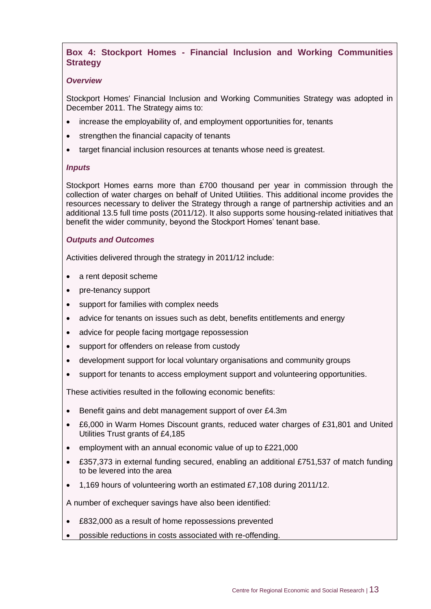#### **Box 4: Stockport Homes - Financial Inclusion and Working Communities Strategy**

#### *Overview*

Stockport Homes' Financial Inclusion and Working Communities Strategy was adopted in December 2011. The Strategy aims to:

- increase the employability of, and employment opportunities for, tenants
- strengthen the financial capacity of tenants
- target financial inclusion resources at tenants whose need is greatest.

#### *Inputs*

Stockport Homes earns more than £700 thousand per year in commission through the collection of water charges on behalf of United Utilities. This additional income provides the resources necessary to deliver the Strategy through a range of partnership activities and an additional 13.5 full time posts (2011/12). It also supports some housing-related initiatives that benefit the wider community, beyond the Stockport Homes' tenant base.

#### *Outputs and Outcomes*

Activities delivered through the strategy in 2011/12 include:

- a rent deposit scheme
- pre-tenancy support
- support for families with complex needs
- advice for tenants on issues such as debt, benefits entitlements and energy
- advice for people facing mortgage repossession
- support for offenders on release from custody
- development support for local voluntary organisations and community groups
- support for tenants to access employment support and volunteering opportunities.

These activities resulted in the following economic benefits:

- Benefit gains and debt management support of over £4.3m
- £6,000 in Warm Homes Discount grants, reduced water charges of £31,801 and United Utilities Trust grants of £4,185
- employment with an annual economic value of up to £221,000
- £357,373 in external funding secured, enabling an additional £751,537 of match funding to be levered into the area
- 1,169 hours of volunteering worth an estimated £7,108 during 2011/12.

A number of exchequer savings have also been identified:

- £832,000 as a result of home repossessions prevented
- possible reductions in costs associated with re-offending.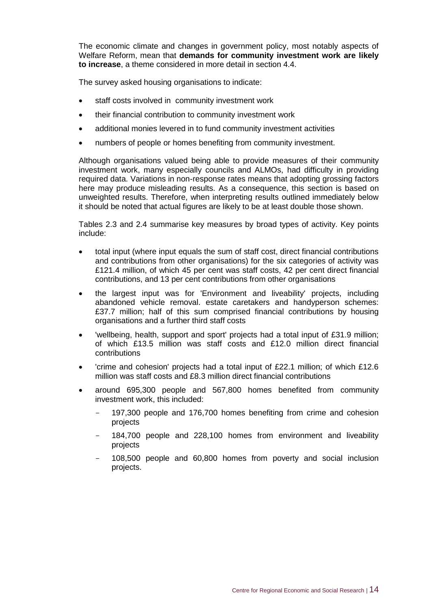The economic climate and changes in government policy, most notably aspects of Welfare Reform, mean that **demands for community investment work are likely to increase**, a theme considered in more detail in section 4.4.

The survey asked housing organisations to indicate:

- staff costs involved in community investment work
- their financial contribution to community investment work
- additional monies levered in to fund community investment activities
- numbers of people or homes benefiting from community investment.

Although organisations valued being able to provide measures of their community investment work, many especially councils and ALMOs, had difficulty in providing required data. Variations in non-response rates means that adopting grossing factors here may produce misleading results. As a consequence, this section is based on unweighted results. Therefore, when interpreting results outlined immediately below it should be noted that actual figures are likely to be at least double those shown.

Tables 2.3 and 2.4 summarise key measures by broad types of activity. Key points include:

- total input (where input equals the sum of staff cost, direct financial contributions and contributions from other organisations) for the six categories of activity was £121.4 million, of which 45 per cent was staff costs, 42 per cent direct financial contributions, and 13 per cent contributions from other organisations
- the largest input was for 'Environment and liveability' projects, including abandoned vehicle removal. estate caretakers and handyperson schemes: £37.7 million; half of this sum comprised financial contributions by housing organisations and a further third staff costs
- 'wellbeing, health, support and sport' projects had a total input of £31.9 million; of which £13.5 million was staff costs and £12.0 million direct financial contributions
- 'crime and cohesion' projects had a total input of £22.1 million; of which £12.6 million was staff costs and £8.3 million direct financial contributions
- around 695,300 people and 567,800 homes benefited from community investment work, this included:
	- 197,300 people and 176,700 homes benefiting from crime and cohesion projects
	- 184,700 people and 228,100 homes from environment and liveability projects
	- 108,500 people and 60,800 homes from poverty and social inclusion projects.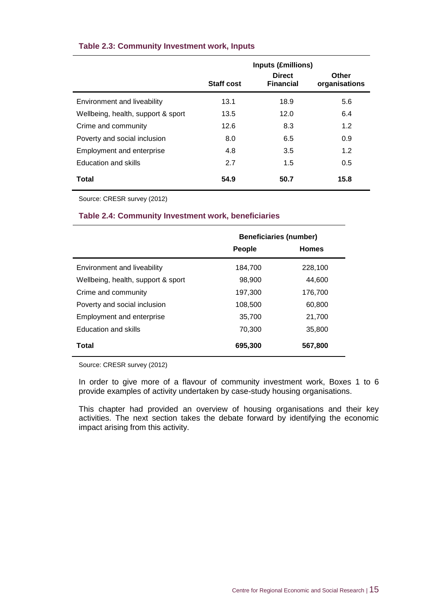|                                    |                   | <b>Inputs (£millions)</b>         |                        |
|------------------------------------|-------------------|-----------------------------------|------------------------|
|                                    | <b>Staff cost</b> | <b>Direct</b><br><b>Financial</b> | Other<br>organisations |
| Environment and liveability        | 13.1              | 18.9                              | 5.6                    |
| Wellbeing, health, support & sport | 13.5              | 12.0                              | 6.4                    |
| Crime and community                | 12.6              | 8.3                               | 1.2                    |
| Poverty and social inclusion       | 8.0               | 6.5                               | 0.9                    |
| Employment and enterprise          | 4.8               | 3.5                               | 1.2                    |
| Education and skills               | 2.7               | 1.5                               | 0.5                    |
| Total                              | 54.9              | 50.7                              | 15.8                   |

#### **Table 2.3: Community Investment work, Inputs**

Source: CRESR survey (2012)

#### **Table 2.4: Community Investment work, beneficiaries**

|                                    | <b>Beneficiaries (number)</b> |              |
|------------------------------------|-------------------------------|--------------|
|                                    | <b>People</b>                 | <b>Homes</b> |
| Environment and liveability        | 184,700                       | 228,100      |
| Wellbeing, health, support & sport | 98,900                        | 44,600       |
| Crime and community                | 197,300                       | 176,700      |
| Poverty and social inclusion       | 108,500                       | 60,800       |
| <b>Employment and enterprise</b>   | 35,700                        | 21,700       |
| <b>Education and skills</b>        | 70,300                        | 35,800       |
| Total                              | 695,300                       | 567,800      |

Source: CRESR survey (2012)

In order to give more of a flavour of community investment work, Boxes 1 to 6 provide examples of activity undertaken by case-study housing organisations.

This chapter had provided an overview of housing organisations and their key activities. The next section takes the debate forward by identifying the economic impact arising from this activity.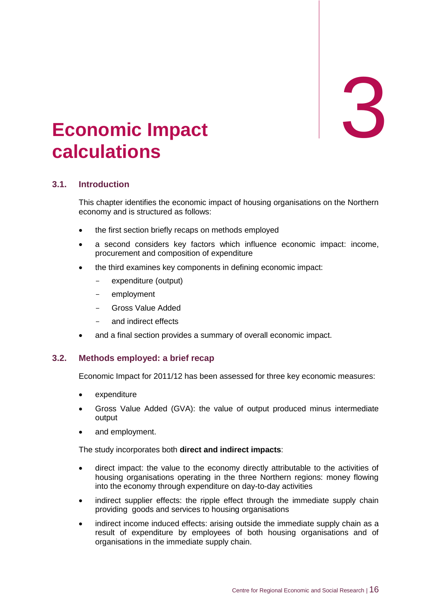## 3

## <span id="page-22-0"></span>3. **Economic Impact calculations**

#### <span id="page-22-1"></span>**3.1. Introduction**

This chapter identifies the economic impact of housing organisations on the Northern economy and is structured as follows:

- the first section briefly recaps on methods employed
- a second considers key factors which influence economic impact: income, procurement and composition of expenditure
- the third examines key components in defining economic impact:
	- expenditure (output)
	- employment
	- Gross Value Added
	- and indirect effects
- and a final section provides a summary of overall economic impact.

#### <span id="page-22-2"></span>**3.2. Methods employed: a brief recap**

Economic Impact for 2011/12 has been assessed for three key economic measures:

- expenditure
- Gross Value Added (GVA): the value of output produced minus intermediate output
- and employment.

The study incorporates both **direct and indirect impacts**:

- direct impact: the value to the economy directly attributable to the activities of housing organisations operating in the three Northern regions: money flowing into the economy through expenditure on day-to-day activities
- indirect supplier effects: the ripple effect through the immediate supply chain providing goods and services to housing organisations
- indirect income induced effects: arising outside the immediate supply chain as a result of expenditure by employees of both housing organisations and of organisations in the immediate supply chain.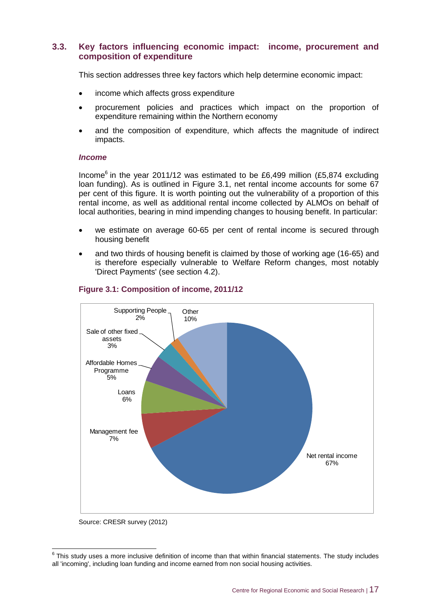#### <span id="page-23-0"></span>**3.3. Key factors influencing economic impact: income, procurement and composition of expenditure**

This section addresses three key factors which help determine economic impact:

- income which affects gross expenditure
- procurement policies and practices which impact on the proportion of expenditure remaining within the Northern economy
- and the composition of expenditure, which affects the magnitude of indirect impacts.

#### *Income*

Income<sup>6</sup> in the year 2011/12 was estimated to be £6,499 million (£5,874 excluding loan funding). As is outlined in Figure 3.1, net rental income accounts for some 67 per cent of this figure. It is worth pointing out the vulnerability of a proportion of this rental income, as well as additional rental income collected by ALMOs on behalf of local authorities, bearing in mind impending changes to housing benefit. In particular:

- we estimate on average 60-65 per cent of rental income is secured through housing benefit
- and two thirds of housing benefit is claimed by those of working age (16-65) and is therefore especially vulnerable to Welfare Reform changes, most notably 'Direct Payments' (see section 4.2).



#### **Figure 3.1: Composition of income, 2011/12**

Source: CRESR survey (2012)

 6 This study uses a more inclusive definition of income than that within financial statements. The study includes all 'incoming', including loan funding and income earned from non social housing activities.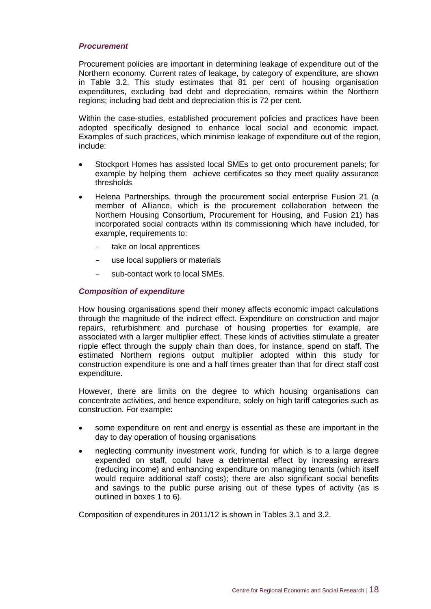#### *Procurement*

Procurement policies are important in determining leakage of expenditure out of the Northern economy. Current rates of leakage, by category of expenditure, are shown in Table 3.2. This study estimates that 81 per cent of housing organisation expenditures, excluding bad debt and depreciation, remains within the Northern regions; including bad debt and depreciation this is 72 per cent.

Within the case-studies, established procurement policies and practices have been adopted specifically designed to enhance local social and economic impact. Examples of such practices, which minimise leakage of expenditure out of the region, include:

- Stockport Homes has assisted local SMEs to get onto procurement panels; for example by helping them achieve certificates so they meet quality assurance thresholds
- Helena Partnerships, through the procurement social enterprise Fusion 21 (a member of Alliance, which is the procurement collaboration between the Northern Housing Consortium, Procurement for Housing, and Fusion 21) has incorporated social contracts within its commissioning which have included, for example, requirements to:
	- take on local apprentices
	- use local suppliers or materials
	- sub-contact work to local SMEs.

#### *Composition of expenditure*

How housing organisations spend their money affects economic impact calculations through the magnitude of the indirect effect. Expenditure on construction and major repairs, refurbishment and purchase of housing properties for example, are associated with a larger multiplier effect. These kinds of activities stimulate a greater ripple effect through the supply chain than does, for instance, spend on staff. The estimated Northern regions output multiplier adopted within this study for construction expenditure is one and a half times greater than that for direct staff cost expenditure.

However, there are limits on the degree to which housing organisations can concentrate activities, and hence expenditure, solely on high tariff categories such as construction. For example:

- some expenditure on rent and energy is essential as these are important in the day to day operation of housing organisations
- neglecting community investment work, funding for which is to a large degree expended on staff, could have a detrimental effect by increasing arrears (reducing income) and enhancing expenditure on managing tenants (which itself would require additional staff costs); there are also significant social benefits and savings to the public purse arising out of these types of activity (as is outlined in boxes 1 to 6).

Composition of expenditures in 2011/12 is shown in Tables 3.1 and 3.2.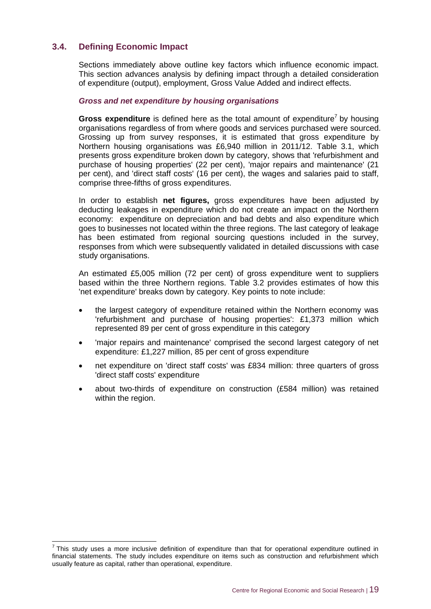#### <span id="page-25-0"></span>**3.4. Defining Economic Impact**

Sections immediately above outline key factors which influence economic impact. This section advances analysis by defining impact through a detailed consideration of expenditure (output), employment, Gross Value Added and indirect effects.

#### *Gross and net expenditure by housing organisations*

Gross expenditure is defined here as the total amount of expenditure<sup>7</sup> by housing organisations regardless of from where goods and services purchased were sourced. Grossing up from survey responses, it is estimated that gross expenditure by Northern housing organisations was £6,940 million in 2011/12. Table 3.1, which presents gross expenditure broken down by category, shows that 'refurbishment and purchase of housing properties' (22 per cent), 'major repairs and maintenance' (21 per cent), and 'direct staff costs' (16 per cent), the wages and salaries paid to staff, comprise three-fifths of gross expenditures.

In order to establish **net figures,** gross expenditures have been adjusted by deducting leakages in expenditure which do not create an impact on the Northern economy: expenditure on depreciation and bad debts and also expenditure which goes to businesses not located within the three regions. The last category of leakage has been estimated from regional sourcing questions included in the survey, responses from which were subsequently validated in detailed discussions with case study organisations.

An estimated £5,005 million (72 per cent) of gross expenditure went to suppliers based within the three Northern regions. Table 3.2 provides estimates of how this 'net expenditure' breaks down by category. Key points to note include:

- the largest category of expenditure retained within the Northern economy was 'refurbishment and purchase of housing properties': £1,373 million which represented 89 per cent of gross expenditure in this category
- 'major repairs and maintenance' comprised the second largest category of net expenditure: £1,227 million, 85 per cent of gross expenditure
- net expenditure on 'direct staff costs' was £834 million: three quarters of gross 'direct staff costs' expenditure
- about two-thirds of expenditure on construction (£584 million) was retained within the region.

 7 This study uses a more inclusive definition of expenditure than that for operational expenditure outlined in financial statements. The study includes expenditure on items such as construction and refurbishment which usually feature as capital, rather than operational, expenditure.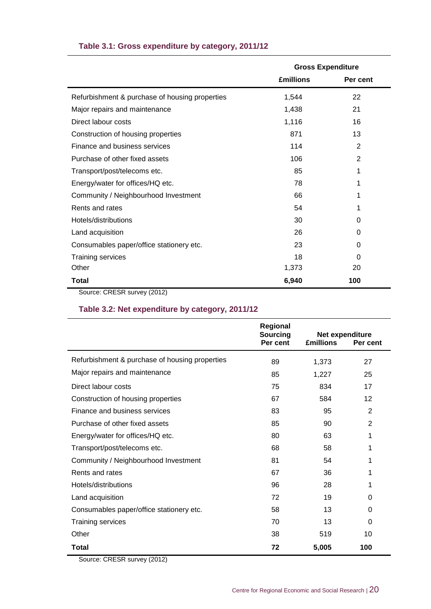|                                                | <b>Gross Expenditure</b> |                |
|------------------------------------------------|--------------------------|----------------|
|                                                | <b>£millions</b>         | Per cent       |
| Refurbishment & purchase of housing properties | 1,544                    | 22             |
| Major repairs and maintenance                  | 1,438                    | 21             |
| Direct labour costs                            | 1,116                    | 16             |
| Construction of housing properties             | 871                      | 13             |
| Finance and business services                  | 114                      | $\overline{2}$ |
| Purchase of other fixed assets                 | 106                      | $\overline{2}$ |
| Transport/post/telecoms etc.                   | 85                       | 1              |
| Energy/water for offices/HQ etc.               | 78                       | 1              |
| Community / Neighbourhood Investment           | 66                       | 1              |
| Rents and rates                                | 54                       | 1              |
| Hotels/distributions                           | 30                       | 0              |
| Land acquisition                               | 26                       | 0              |
| Consumables paper/office stationery etc.       | 23                       | 0              |
| <b>Training services</b>                       | 18                       | 0              |
| Other                                          | 1,373                    | 20             |
| Total<br>(0.010)<br>$\sim$ $\sim$ $\sim$       | 6,940                    | 100            |

#### **Table 3.1: Gross expenditure by category, 2011/12**

Source: CRESR survey (2012)

#### **Table 3.2: Net expenditure by category, 2011/12**

|                                                | Regional<br>Sourcing<br>Per cent | Net expenditure<br><b>£millions</b> | Per cent       |
|------------------------------------------------|----------------------------------|-------------------------------------|----------------|
| Refurbishment & purchase of housing properties | 89                               | 1,373                               | 27             |
| Major repairs and maintenance                  | 85                               | 1,227                               | 25             |
| Direct labour costs                            | 75                               | 834                                 | 17             |
| Construction of housing properties             | 67                               | 584                                 | 12             |
| Finance and business services                  | 83                               | 95                                  | 2              |
| Purchase of other fixed assets                 | 85                               | 90                                  | $\overline{2}$ |
| Energy/water for offices/HQ etc.               | 80                               | 63                                  | 1              |
| Transport/post/telecoms etc.                   | 68                               | 58                                  | 1              |
| Community / Neighbourhood Investment           | 81                               | 54                                  | 1              |
| Rents and rates                                | 67                               | 36                                  | 1              |
| Hotels/distributions                           | 96                               | 28                                  | 1              |
| Land acquisition                               | 72                               | 19                                  | 0              |
| Consumables paper/office stationery etc.       | 58                               | 13                                  | 0              |
| <b>Training services</b>                       | 70                               | 13                                  | 0              |
| Other                                          | 38                               | 519                                 | 10             |
| Total                                          | 72                               | 5,005                               | 100            |

Source: CRESR survey (2012)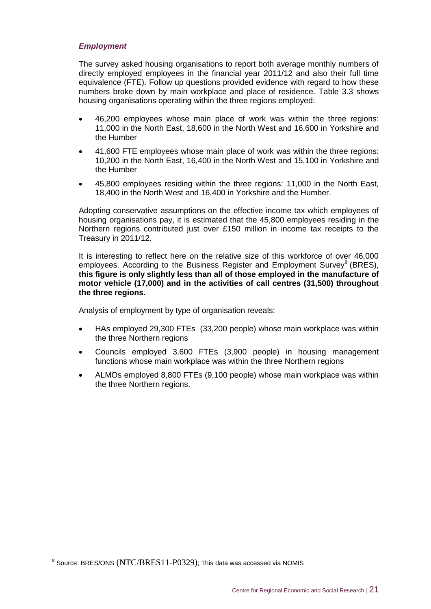#### *Employment*

The survey asked housing organisations to report both average monthly numbers of directly employed employees in the financial year 2011/12 and also their full time equivalence (FTE). Follow up questions provided evidence with regard to how these numbers broke down by main workplace and place of residence. Table 3.3 shows housing organisations operating within the three regions employed:

- 46,200 employees whose main place of work was within the three regions: 11,000 in the North East, 18,600 in the North West and 16,600 in Yorkshire and the Humber
- 41,600 FTE employees whose main place of work was within the three regions: 10,200 in the North East, 16,400 in the North West and 15,100 in Yorkshire and the Humber
- 45,800 employees residing within the three regions: 11,000 in the North East, 18,400 in the North West and 16,400 in Yorkshire and the Humber.

Adopting conservative assumptions on the effective income tax which employees of housing organisations pay, it is estimated that the 45,800 employees residing in the Northern regions contributed just over £150 million in income tax receipts to the Treasury in 2011/12.

It is interesting to reflect here on the relative size of this workforce of over 46,000 employees. According to the Business Register and Employment Survey<sup>8</sup> (BRES), **this figure is only slightly less than all of those employed in the manufacture of motor vehicle (17,000) and in the activities of call centres (31,500) throughout the three regions.**

Analysis of employment by type of organisation reveals:

- HAs employed 29,300 FTEs (33,200 people) whose main workplace was within the three Northern regions
- Councils employed 3,600 FTEs (3,900 people) in housing management functions whose main workplace was within the three Northern regions
- ALMOs employed 8,800 FTEs (9,100 people) whose main workplace was within the three Northern regions.

-

 $8$  Source: BRES/ONS (NTC/BRES11-P0329); This data was accessed via NOMIS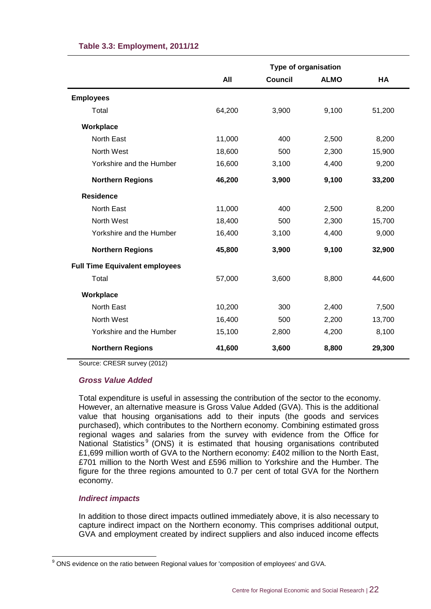|                                       | <b>Type of organisation</b> |                |             |        |
|---------------------------------------|-----------------------------|----------------|-------------|--------|
|                                       | All                         | <b>Council</b> | <b>ALMO</b> | HA     |
| <b>Employees</b>                      |                             |                |             |        |
| Total                                 | 64,200                      | 3,900          | 9,100       | 51,200 |
| Workplace                             |                             |                |             |        |
| <b>North East</b>                     | 11,000                      | 400            | 2,500       | 8,200  |
| North West                            | 18,600                      | 500            | 2,300       | 15,900 |
| Yorkshire and the Humber              | 16,600                      | 3,100          | 4,400       | 9,200  |
| <b>Northern Regions</b>               | 46,200                      | 3,900          | 9,100       | 33,200 |
| <b>Residence</b>                      |                             |                |             |        |
| North East                            | 11,000                      | 400            | 2,500       | 8,200  |
| North West                            | 18,400                      | 500            | 2,300       | 15,700 |
| Yorkshire and the Humber              | 16,400                      | 3,100          | 4,400       | 9,000  |
| <b>Northern Regions</b>               | 45,800                      | 3,900          | 9,100       | 32,900 |
| <b>Full Time Equivalent employees</b> |                             |                |             |        |
| Total                                 | 57,000                      | 3,600          | 8,800       | 44,600 |
| Workplace                             |                             |                |             |        |
| North East                            | 10,200                      | 300            | 2,400       | 7,500  |
| North West                            | 16,400                      | 500            | 2,200       | 13,700 |
| Yorkshire and the Humber              | 15,100                      | 2,800          | 4,200       | 8,100  |
| <b>Northern Regions</b>               | 41,600                      | 3,600          | 8,800       | 29,300 |

#### **Table 3.3: Employment, 2011/12**

Source: CRESR survey (2012)

#### *Gross Value Added*

Total expenditure is useful in assessing the contribution of the sector to the economy. However, an alternative measure is Gross Value Added (GVA). This is the additional value that housing organisations add to their inputs (the goods and services purchased), which contributes to the Northern economy. Combining estimated gross regional wages and salaries from the survey with evidence from the Office for National Statistics<sup>9</sup> (ONS) it is estimated that housing organisations contributed £1,699 million worth of GVA to the Northern economy: £402 million to the North East, £701 million to the North West and £596 million to Yorkshire and the Humber. The figure for the three regions amounted to 0.7 per cent of total GVA for the Northern economy.

#### *Indirect impacts*

 $\overline{a}$ 

In addition to those direct impacts outlined immediately above, it is also necessary to capture indirect impact on the Northern economy. This comprises additional output, GVA and employment created by indirect suppliers and also induced income effects

 $9$  ONS evidence on the ratio between Regional values for 'composition of employees' and GVA.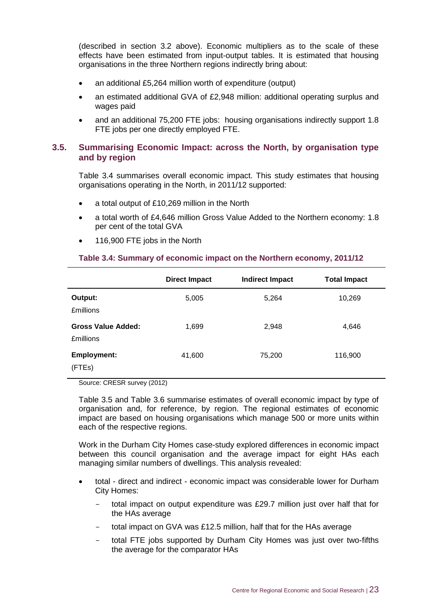(described in section 3.2 above). Economic multipliers as to the scale of these effects have been estimated from input-output tables. It is estimated that housing organisations in the three Northern regions indirectly bring about:

- an additional £5,264 million worth of expenditure (output)
- an estimated additional GVA of £2,948 million: additional operating surplus and wages paid
- and an additional 75,200 FTE jobs: housing organisations indirectly support 1.8 FTE jobs per one directly employed FTE.

#### <span id="page-29-0"></span>**3.5. Summarising Economic Impact: across the North, by organisation type and by region**

Table 3.4 summarises overall economic impact. This study estimates that housing organisations operating in the North, in 2011/12 supported:

- a total output of £10,269 million in the North
- a total worth of £4,646 million Gross Value Added to the Northern economy: 1.8 per cent of the total GVA
- 116,900 FTE jobs in the North

#### **Direct Impact Indirect Impact Total Impact Output:** 5,005 5,005 5,264 10,269 £millions **Gross Value Added:** 1,699 2,948 2,948 4,646 £millions **Employment:** 41,600 75,200 116,900 (FTEs)

#### **Table 3.4: Summary of economic impact on the Northern economy, 2011/12**

Source: CRESR survey (2012)

Table 3.5 and Table 3.6 summarise estimates of overall economic impact by type of organisation and, for reference, by region. The regional estimates of economic impact are based on housing organisations which manage 500 or more units within each of the respective regions.

Work in the Durham City Homes case-study explored differences in economic impact between this council organisation and the average impact for eight HAs each managing similar numbers of dwellings. This analysis revealed:

- total direct and indirect economic impact was considerable lower for Durham City Homes:
	- total impact on output expenditure was £29.7 million just over half that for the HAs average
	- total impact on GVA was £12.5 million, half that for the HAs average
	- total FTE jobs supported by Durham City Homes was just over two-fifths the average for the comparator HAs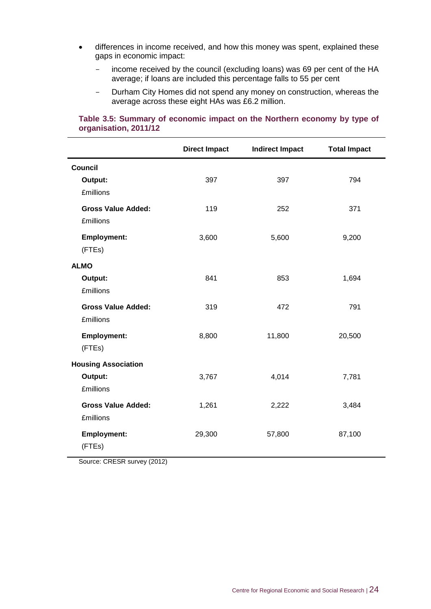- differences in income received, and how this money was spent, explained these gaps in economic impact:
	- income received by the council (excluding loans) was 69 per cent of the HA average; if loans are included this percentage falls to 55 per cent
	- Durham City Homes did not spend any money on construction, whereas the average across these eight HAs was £6.2 million.

#### **Direct Impact Indirect Impact Total Impact Council Output:** 397 397 794 £millions **Gross Value Added:** 119 252 371 £millions **Employment:** 3,600 5,600 9,200 (FTEs) **ALMO Output:** 841 853 1,694 £millions **Gross Value Added:** 319 472 791 £millions **Employment:** 8,800 11,800 20,500 (FTEs) **Housing Association Output:** 3,767 4,014 7,781 £millions **Gross Value Added:** 1,261 2,222 3,484 £millions **Employment:** 29,300 57,800 87,100 (FTEs)

#### **Table 3.5: Summary of economic impact on the Northern economy by type of organisation, 2011/12**

Source: CRESR survey (2012)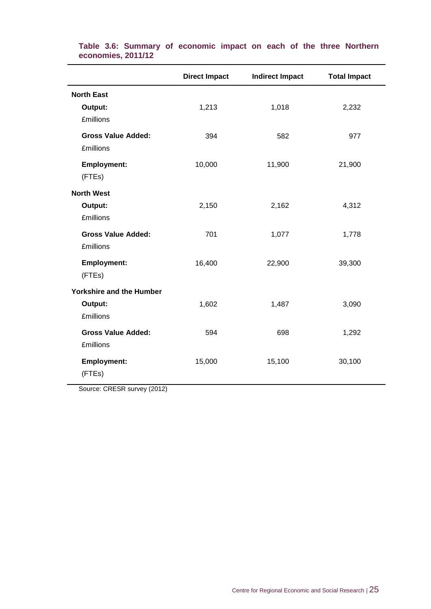|                                                  | <b>Direct Impact</b> | <b>Indirect Impact</b> | <b>Total Impact</b> |
|--------------------------------------------------|----------------------|------------------------|---------------------|
| <b>North East</b>                                |                      |                        |                     |
| Output:<br><b>£millions</b>                      | 1,213                | 1,018                  | 2,232               |
| <b>Gross Value Added:</b><br><b>£millions</b>    | 394                  | 582                    | 977                 |
| Employment:<br>(FTEs)                            | 10,000               | 11,900                 | 21,900              |
| <b>North West</b><br>Output:<br><b>£millions</b> | 2,150                | 2,162                  | 4,312               |
| <b>Gross Value Added:</b><br><b>£millions</b>    | 701                  | 1,077                  | 1,778               |
| <b>Employment:</b><br>(FTEs)                     | 16,400               | 22,900                 | 39,300              |
| <b>Yorkshire and the Humber</b>                  |                      |                        |                     |
| Output:<br><b>£millions</b>                      | 1,602                | 1,487                  | 3,090               |
| <b>Gross Value Added:</b><br><b>£millions</b>    | 594                  | 698                    | 1,292               |
| <b>Employment:</b><br>(FTEs)                     | 15,000               | 15,100                 | 30,100              |

**Table 3.6: Summary of economic impact on each of the three Northern economies, 2011/12**

Source: CRESR survey (2012)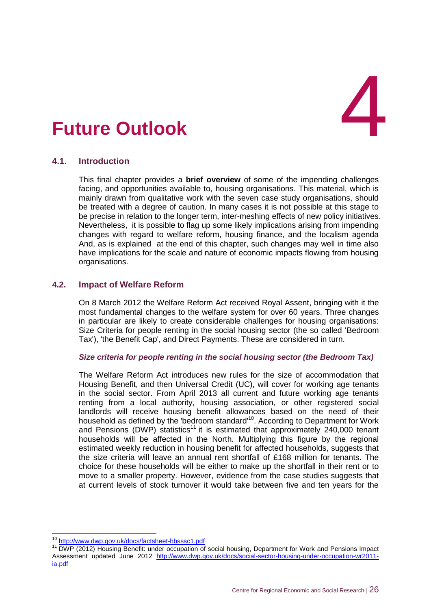# <span id="page-32-0"></span>4. **Future Outlook** 4

#### <span id="page-32-1"></span>**4.1. Introduction**

This final chapter provides a **brief overview** of some of the impending challenges facing, and opportunities available to, housing organisations. This material, which is mainly drawn from qualitative work with the seven case study organisations, should be treated with a degree of caution. In many cases it is not possible at this stage to be precise in relation to the longer term, inter-meshing effects of new policy initiatives. Nevertheless, it is possible to flag up some likely implications arising from impending changes with regard to welfare reform, housing finance, and the localism agenda And, as is explained at the end of this chapter, such changes may well in time also have implications for the scale and nature of economic impacts flowing from housing organisations.

#### <span id="page-32-2"></span>**4.2. Impact of Welfare Reform**

On 8 March 2012 the Welfare Reform Act received Royal Assent, bringing with it the most fundamental changes to the welfare system for over 60 years. Three changes in particular are likely to create considerable challenges for housing organisations: Size Criteria for people renting in the social housing sector (the so called 'Bedroom Tax'), 'the Benefit Cap', and Direct Payments. These are considered in turn.

#### *Size criteria for people renting in the social housing sector (the Bedroom Tax)*

The Welfare Reform Act introduces new rules for the size of accommodation that Housing Benefit, and then Universal Credit (UC), will cover for working age tenants in the social sector. From April 2013 all current and future working age tenants renting from a local authority, housing association, or other registered social landlords will receive housing benefit allowances based on the need of their household as defined by the 'bedroom standard'<sup>10</sup>. According to Department for Work and Pensions (DWP) statistics<sup>11</sup> it is estimated that approximately 240,000 tenant households will be affected in the North. Multiplying this figure by the regional estimated weekly reduction in housing benefit for affected households, suggests that the size criteria will leave an annual rent shortfall of £168 million for tenants. The choice for these households will be either to make up the shortfall in their rent or to move to a smaller property. However, evidence from the case studies suggests that at current levels of stock turnover it would take between five and ten years for the

 $\overline{1}$ 10 <http://www.dwp.gov.uk/docs/factsheet-hbsssc1.pdf>

<sup>11</sup> DWP (2012) Housing Benefit: under occupation of social housing, Department for Work and Pensions Impact Assessment updated June 2012 [http://www.dwp.gov.uk/docs/social-sector-housing-under-occupation-wr2011](http://www.dwp.gov.uk/docs/social-sector-housing-under-occupation-wr2011-ia.pdf) [ia.pdf](http://www.dwp.gov.uk/docs/social-sector-housing-under-occupation-wr2011-ia.pdf)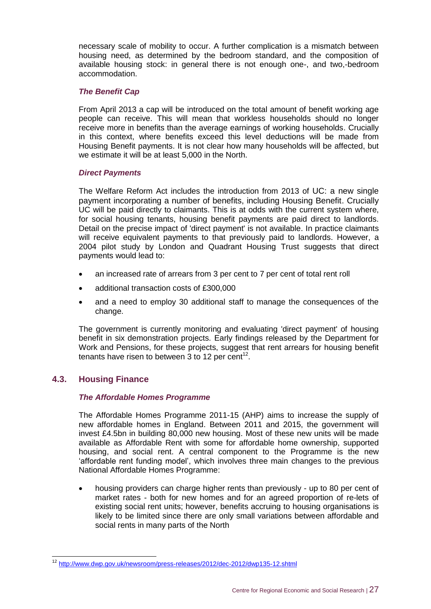necessary scale of mobility to occur. A further complication is a mismatch between housing need, as determined by the bedroom standard, and the composition of available housing stock: in general there is not enough one-, and two,-bedroom accommodation.

#### *The Benefit Cap*

From April 2013 a cap will be introduced on the total amount of benefit working age people can receive. This will mean that workless households should no longer receive more in benefits than the average earnings of working households. Crucially in this context, where benefits exceed this level deductions will be made from Housing Benefit payments. It is not clear how many households will be affected, but we estimate it will be at least 5,000 in the North.

#### *Direct Payments*

The Welfare Reform Act includes the introduction from 2013 of UC: a new single payment incorporating a number of benefits, including Housing Benefit. Crucially UC will be paid directly to claimants. This is at odds with the current system where, for social housing tenants, housing benefit payments are paid direct to landlords. Detail on the precise impact of 'direct payment' is not available. In practice claimants will receive equivalent payments to that previously paid to landlords. However, a 2004 pilot study by London and Quadrant Housing Trust suggests that direct payments would lead to:

- an increased rate of arrears from 3 per cent to 7 per cent of total rent roll
- additional transaction costs of £300,000
- and a need to employ 30 additional staff to manage the consequences of the change.

The government is currently monitoring and evaluating 'direct payment' of housing benefit in six demonstration projects. Early findings released by the Department for Work and Pensions, for these projects, suggest that rent arrears for housing benefit tenants have risen to between  $3$  to 12 per cent<sup>12</sup>.

#### <span id="page-33-0"></span>**4.3. Housing Finance**

 $\overline{1}$ 

#### *The Affordable Homes Programme*

The Affordable Homes Programme 2011-15 (AHP) aims to increase the supply of new affordable homes in England. Between 2011 and 2015, the government will invest £4.5bn in building 80,000 new housing. Most of these new units will be made available as Affordable Ren[t](http://www.homesandcommunities.co.uk/affordable-rent) with some for affordable home ownership, supported housing, and social rent. A central component to the Programme is the new 'affordable rent funding model', which involves three main changes to the previous National Affordable Homes Programme:

 housing providers can charge higher rents than previously - up to 80 per cent of market rates - both for new homes and for an agreed proportion of re-lets of existing social rent units; however, benefits accruing to housing organisations is likely to be limited since there are only small variations between affordable and social rents in many parts of the North

<sup>12</sup> <http://www.dwp.gov.uk/newsroom/press-releases/2012/dec-2012/dwp135-12.shtml>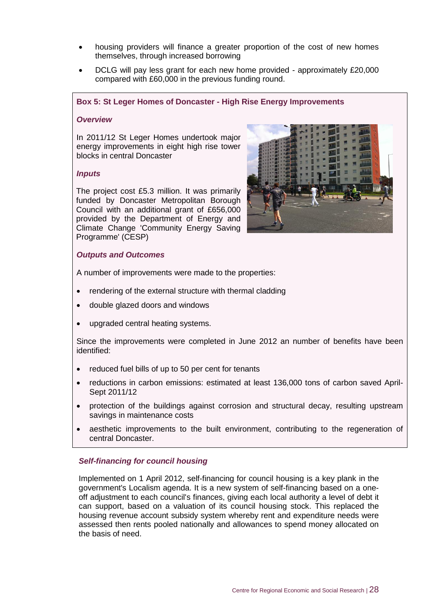- housing providers will finance a greater proportion of the cost of new homes themselves, through increased borrowing
- DCLG will pay less grant for each new home provided approximately £20,000 compared with £60,000 in the previous funding round.

#### **Box 5: St Leger Homes of Doncaster - High Rise Energy Improvements**

#### *Overview*

In 2011/12 St Leger Homes undertook major energy improvements in eight high rise tower blocks in central Doncaster

#### *Inputs*

The project cost £5.3 million. It was primarily funded by Doncaster Metropolitan Borough Council with an additional grant of £656,000 provided by the Department of Energy and Climate Change 'Community Energy Saving Programme' (CESP)

#### *Outputs and Outcomes*

A number of improvements were made to the properties:

- rendering of the external structure with thermal cladding
- double glazed doors and windows
- upgraded central heating systems.

Since the improvements were completed in June 2012 an number of benefits have been identified:

- reduced fuel bills of up to 50 per cent for tenants
- reductions in carbon emissions: estimated at least 136,000 tons of carbon saved April-Sept 2011/12
- protection of the buildings against corrosion and structural decay, resulting upstream savings in maintenance costs
- aesthetic improvements to the built environment, contributing to the regeneration of central Doncaster.

#### *Self-financing for council housing*

Implemented on 1 April 2012, self-financing for council housing is a key plank in the government's Localism agenda. It is a new system of self-financing based on a oneoff adjustment to each council's finances, giving each local authority a level of debt it can support, based on a valuation of its council housing stock. This replaced the housing revenue account subsidy system whereby rent and expenditure needs were assessed then rents pooled nationally and allowances to spend money allocated on the basis of need.

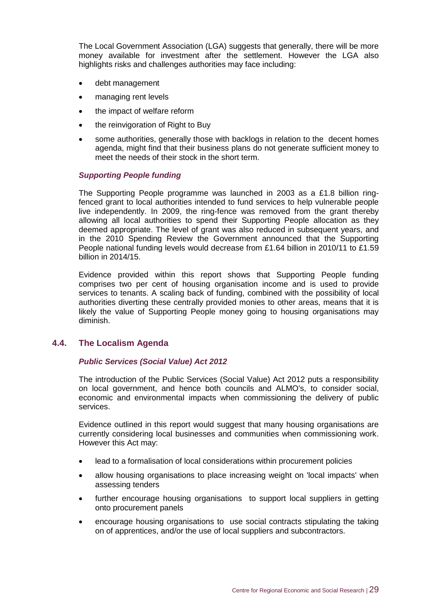The Local Government Association (LGA) suggests that generally, there will be more money available for investment after the settlement. However the LGA also highlights risks and challenges authorities may face including:

- debt management
- managing rent levels
- the impact of welfare reform
- the reinvigoration of Right to Buy
- some authorities, generally those with backlogs in relation to the decent homes agenda, might find that their business plans do not generate sufficient money to meet the needs of their stock in the short term.

#### *Supporting People funding*

The Supporting People programme was launched in 2003 as a £1.8 billion ringfenced grant to local authorities intended to fund services to help vulnerable people live independently. In 2009, the ring-fence was removed from the grant thereby allowing all local authorities to spend their Supporting People allocation as they deemed appropriate. The level of grant was also reduced in subsequent years, and in the 2010 Spending Review the Government announced that the Supporting People national funding levels would decrease from £1.64 billion in 2010/11 to £1.59 billion in 2014/15.

Evidence provided within this report shows that Supporting People funding comprises two per cent of housing organisation income and is used to provide services to tenants. A scaling back of funding, combined with the possibility of local authorities diverting these centrally provided monies to other areas, means that it is likely the value of Supporting People money going to housing organisations may diminish.

#### <span id="page-35-0"></span>**4.4. The Localism Agenda**

#### *Public Services (Social Value) Act 2012*

The introduction of the Public Services (Social Value) Act 2012 puts a responsibility on local government, and hence both councils and ALMO's, to consider social, economic and environmental impacts when commissioning the delivery of public services.

Evidence outlined in this report would suggest that many housing organisations are currently considering local businesses and communities when commissioning work. However this Act may:

- lead to a formalisation of local considerations within procurement policies
- allow housing organisations to place increasing weight on 'local impacts' when assessing tenders
- further encourage housing organisations to support local suppliers in getting onto procurement panels
- encourage housing organisations to use social contracts stipulating the taking on of apprentices, and/or the use of local suppliers and subcontractors.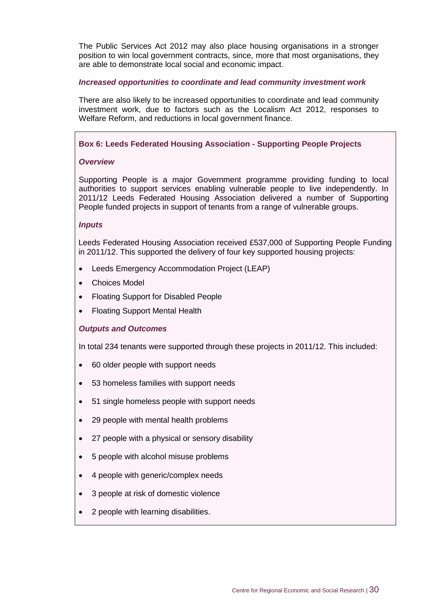The Public Services Act 2012 may also place housing organisations in a stronger position to win local government contracts, since, more that most organisations, they are able to demonstrate local social and economic impact.

#### *Increased opportunities to coordinate and lead community investment work*

There are also likely to be increased opportunities to coordinate and lead community investment work, due to factors such as the Localism Act 2012, responses to Welfare Reform, and reductions in local government finance.

#### **Box 6: Leeds Federated Housing Association - Supporting People Projects**

#### *Overview*

Supporting People is a major Government programme providing funding to local authorities to support services enabling vulnerable people to live independently. In 2011/12 Leeds Federated Housing Association delivered a number of Supporting People funded projects in support of tenants from a range of vulnerable groups.

#### *Inputs*

Leeds Federated Housing Association received £537,000 of Supporting People Funding in 2011/12. This supported the delivery of four key supported housing projects:

- Leeds Emergency Accommodation Project (LEAP)
- Choices Model
- Floating Support for Disabled People
- Floating Support Mental Health

#### *Outputs and Outcomes*

In total 234 tenants were supported through these projects in 2011/12. This included:

- 60 older people with support needs
- 53 homeless families with support needs
- 51 single homeless people with support needs
- 29 people with mental health problems
- 27 people with a physical or sensory disability
- 5 people with alcohol misuse problems
- 4 people with generic/complex needs
- 3 people at risk of domestic violence
- 2 people with learning disabilities.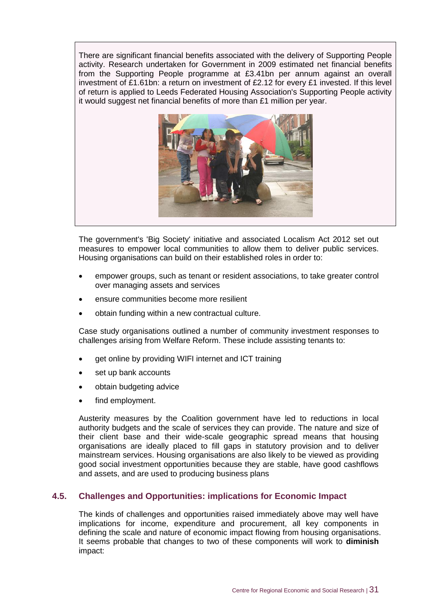There are significant financial benefits associated with the delivery of Supporting People activity. Research undertaken for Government in 2009 estimated net financial benefits from the Supporting People programme at £3.41bn per annum against an overall investment of £1.61bn: a return on investment of £2.12 for every £1 invested. If this level of return is applied to Leeds Federated Housing Association's Supporting People activity it would suggest net financial benefits of more than £1 million per year.



The government's 'Big Society' initiative and associated Localism Act 2012 set out measures to empower local communities to allow them to deliver public services. Housing organisations can build on their established roles in order to:

- empower groups, such as tenant or resident associations, to take greater control over managing assets and services
- ensure communities become more resilient
- obtain funding within a new contractual culture.

Case study organisations outlined a number of community investment responses to challenges arising from Welfare Reform. These include assisting tenants to:

- get online by providing WIFI internet and ICT training
- set up bank accounts
- obtain budgeting advice
- find employment.

Austerity measures by the Coalition government have led to reductions in local authority budgets and the scale of services they can provide. The nature and size of their client base and their wide-scale geographic spread means that housing organisations are ideally placed to fill gaps in statutory provision and to deliver mainstream services. Housing organisations are also likely to be viewed as providing good social investment opportunities because they are stable, have good cashflows and assets, and are used to producing business plans

#### <span id="page-37-0"></span>**4.5. Challenges and Opportunities: implications for Economic Impact**

The kinds of challenges and opportunities raised immediately above may well have implications for income, expenditure and procurement, all key components in defining the scale and nature of economic impact flowing from housing organisations. It seems probable that changes to two of these components will work to **diminish** impact: